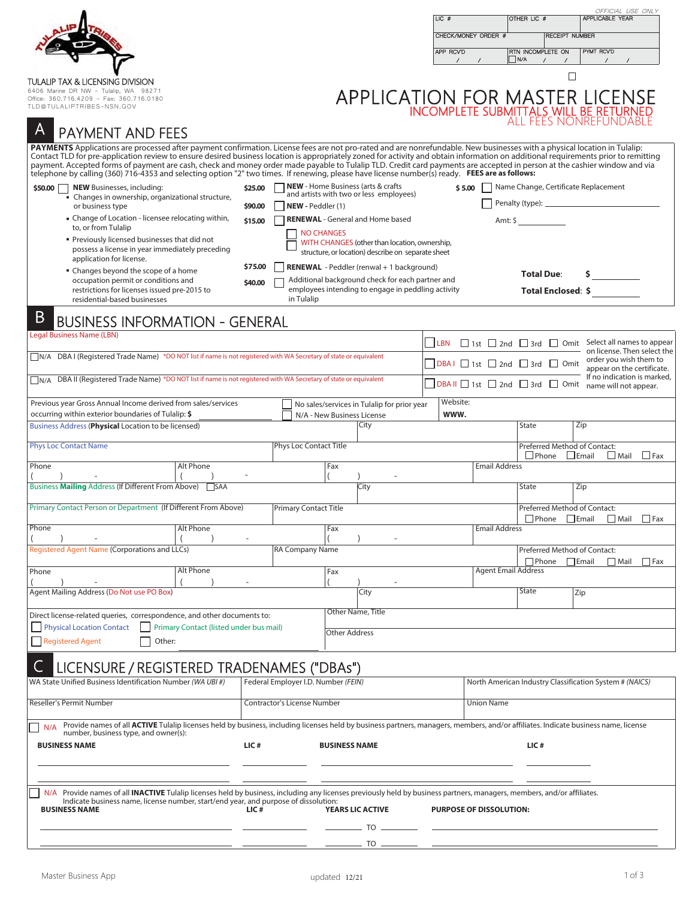|                                                                                                                                                                                                                                                                                                                                                                                                                                                                                                                                                                                                                                                                                                                                                                                                                                                                                                                                |                                         |                                                                    |                            |                                                                                                                                                                                                                                                                   | $LC$ #<br>APP RCVD | CHECK/MONEY ORDER #                          | OTHER LIC #<br>RTN INCOMPLETE ON<br>$\Box$ N/A<br>$\prime$                                                           | OFFICIAL USE ONLY<br><b>APPLICABLE YEAR</b><br><b>RECEIPT NUMBER</b><br>PYMT RCV'D                                                                                                                |
|--------------------------------------------------------------------------------------------------------------------------------------------------------------------------------------------------------------------------------------------------------------------------------------------------------------------------------------------------------------------------------------------------------------------------------------------------------------------------------------------------------------------------------------------------------------------------------------------------------------------------------------------------------------------------------------------------------------------------------------------------------------------------------------------------------------------------------------------------------------------------------------------------------------------------------|-----------------------------------------|--------------------------------------------------------------------|----------------------------|-------------------------------------------------------------------------------------------------------------------------------------------------------------------------------------------------------------------------------------------------------------------|--------------------|----------------------------------------------|----------------------------------------------------------------------------------------------------------------------|---------------------------------------------------------------------------------------------------------------------------------------------------------------------------------------------------|
| TULALIP TAX & LICENSING DIVISION<br>6406 Marine DR NW - Tulalip, WA 98271<br>Office: 360.716.4209 - Fax: 360.716.0180<br>TLD@TULALIPTRIBES-NSN.GOV                                                                                                                                                                                                                                                                                                                                                                                                                                                                                                                                                                                                                                                                                                                                                                             |                                         |                                                                    |                            |                                                                                                                                                                                                                                                                   |                    |                                              |                                                                                                                      | $\Box$<br>APPLICATION FOR MASTER LICENSE                                                                                                                                                          |
| <b>PAYMENT AND FEES</b><br>PAYMENTS Applications are processed after payment confirmation. License fees are not pro-rated and are nonrefundable. New businesses with a physical location in Tulalip:<br>Contact TLD for pre-application review to ensure desired business location is appropriately zoned for activity and obtain information on additional requirements prior to remitting<br>payment. Accepted forms of payment are cash, check and money order made payable to Tulalip TLD. Credit card payments are accepted in person at the cashier window and via<br>telephone by calling (360) 716-4353 and selecting option "2" two times. If renewing, please have license number(s) ready. FEES are as follows:<br><b>NEW</b> Businesses, including:<br>\$50.00<br>Changes in ownership, organizational structure,<br>or business type<br>• Change of Location - licensee relocating within,<br>to, or from Tulalip |                                         | \$25.00<br>NEW - Peddler (1)<br>\$90,00<br>\$15.00                 | <b>NO CHANGES</b>          | <b>NEW</b> - Home Business (arts & crafts<br>and artists with two or less employees)<br><b>RENEWAL</b> - General and Home based                                                                                                                                   |                    | \$5.00                                       | Amt: $\frac{1}{2}$                                                                                                   | Name Change, Certificate Replacement                                                                                                                                                              |
| Previously licensed businesses that did not<br>possess a license in year immediately preceding<br>application for license.<br>• Changes beyond the scope of a home<br>occupation permit or conditions and<br>restrictions for licenses issued pre-2015 to<br>residential-based businesses<br>B<br><b>BUSINESS INFORMATION - GENERAL</b>                                                                                                                                                                                                                                                                                                                                                                                                                                                                                                                                                                                        |                                         | \$75.00<br>\$40,00<br>in Tulalip                                   |                            | WITH CHANGES (other than location, ownership,<br>structure, or location) describe on separate sheet<br><b>RENEWAL</b> - Peddler (renwal + 1 background)<br>Additional background check for each partner and<br>employees intending to engage in peddling activity |                    |                                              | <b>Total Due:</b><br>Total Enclosed: \$                                                                              |                                                                                                                                                                                                   |
| <b>Legal Business Name (LBN)</b><br>N/A DBA I (Registered Trade Name) *DO NOT list if name is not registered with WA Secretary of state or equivalent<br>DBA II (Registered Trade Name) *DO NOT list if name is not registered with WA Secretary of state or equivalent<br>N/A                                                                                                                                                                                                                                                                                                                                                                                                                                                                                                                                                                                                                                                 |                                         |                                                                    |                            |                                                                                                                                                                                                                                                                   | LBN                |                                              | $DBAI \square$ 1st $\square$ 2nd $\square$ 3rd $\square$ Omit<br>DBA II $\Box$ 1st $\Box$ 2nd $\Box$ 3rd $\Box$ Omit | □ 1st □ 2nd □ 3rd □ Omit Select all names to appear<br>on license. Then select the<br>order you wish them to<br>appear on the certificate.<br>If no indication is marked<br>name will not appear. |
| Previous year Gross Annual Income derived from sales/services<br>occurring within exterior boundaries of Tulalip: \$<br>Business Address (Physical Location to be licensed)<br><b>Phys Loc Contact Name</b>                                                                                                                                                                                                                                                                                                                                                                                                                                                                                                                                                                                                                                                                                                                    |                                         | Phys Loc Contact Title                                             | N/A - New Business License | No sales/services in Tulalip for prior year<br>City                                                                                                                                                                                                               | Website:<br>www.   |                                              | <b>State</b><br>Preferred Method of Contact:<br>$\Box$ Phone                                                         | Zip<br>$\Box$ Fax<br>$L$ Email<br>$\Box$ Mail                                                                                                                                                     |
| Phone<br>Business Mailing Address (If Different From Above)<br>Primary Contact Person or Department (If Different From Above)<br>Phone                                                                                                                                                                                                                                                                                                                                                                                                                                                                                                                                                                                                                                                                                                                                                                                         | Alt Phone<br><b>T</b> SAA<br>Alt Phone  | <b>Primary Contact Title</b>                                       | Fax<br>Fax                 | City                                                                                                                                                                                                                                                              |                    | <b>Email Address</b><br><b>Email Address</b> | <b>State</b><br>Preferred Method of Contact:<br>$\Box$ Phone                                                         | Zip<br>$\Box$ Email<br>  Fax<br>∐ Mail                                                                                                                                                            |
| Registered Agent Name (Corporations and LLCs)<br>Phone<br>Agent Mailing Address (Do Not use PO Box)                                                                                                                                                                                                                                                                                                                                                                                                                                                                                                                                                                                                                                                                                                                                                                                                                            | Alt Phone                               | RA Company Name                                                    | Fax                        | City                                                                                                                                                                                                                                                              |                    | <b>Agent Email Address</b>                   | Preferred Method of Contact:<br>$\Box$ Phone<br>State                                                                | $\Box$ Email<br>$\Box$ Mail<br>$\Box$ Fax<br>Zip                                                                                                                                                  |
| Direct license-related queries, correspondence, and other documents to:<br>Physical Location Contact<br><b>Registered Agent</b><br>Other:<br>LICENSURE / REGISTERED TRADENAMES ("DBAs")                                                                                                                                                                                                                                                                                                                                                                                                                                                                                                                                                                                                                                                                                                                                        | Primary Contact (listed under bus mail) |                                                                    | <b>Other Address</b>       | Other Name, Title                                                                                                                                                                                                                                                 |                    |                                              |                                                                                                                      |                                                                                                                                                                                                   |
| WA State Unified Business Identification Number (WA UBI #)<br>Reseller's Permit Number<br>Provide names of all ACTIVE Tulalip licenses held by business, including licenses held by business partners, managers, members, and/or affiliates. Indicate business name, license<br>N/A<br>number, business type, and owner(s):                                                                                                                                                                                                                                                                                                                                                                                                                                                                                                                                                                                                    |                                         | Federal Employer I.D. Number (FEIN)<br>Contractor's License Number |                            |                                                                                                                                                                                                                                                                   |                    | <b>Union Name</b>                            |                                                                                                                      | North American Industry Classification System # (NAICS)                                                                                                                                           |
| <b>BUSINESS NAME</b><br>N/A Provide names of all INACTIVE Tulalip licenses held by business, including any licenses previously held by business partners, managers, members, and/or affiliates.<br>Indicate business name, license number, start/end year, and purpose of dissolution:<br><b>BUSINESS NAME</b>                                                                                                                                                                                                                                                                                                                                                                                                                                                                                                                                                                                                                 |                                         | LIC#<br>LIC#                                                       | <b>BUSINESS NAME</b>       | <b>YEARS LIC ACTIVE</b><br>TO                                                                                                                                                                                                                                     |                    | <b>PURPOSE OF DISSOLUTION:</b>               | LIC#                                                                                                                 |                                                                                                                                                                                                   |
|                                                                                                                                                                                                                                                                                                                                                                                                                                                                                                                                                                                                                                                                                                                                                                                                                                                                                                                                |                                         |                                                                    |                            | $TO \nightharpoonup$ $-$                                                                                                                                                                                                                                          |                    |                                              |                                                                                                                      |                                                                                                                                                                                                   |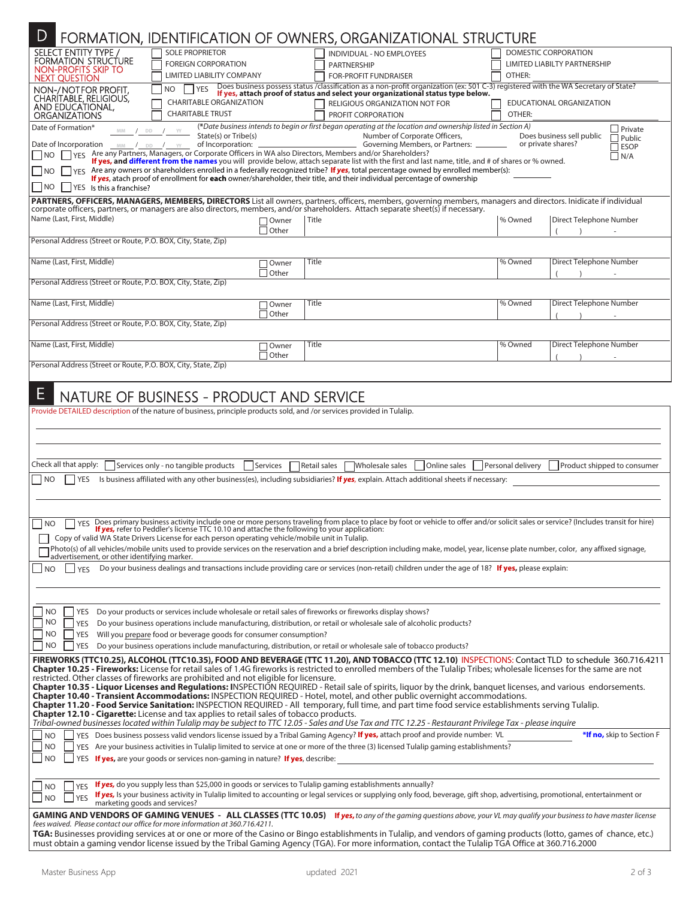| D<br>FORMATION, IDENTIFICATION OF OWNERS, ORGANIZATIONAL STRUCTURE                                                                                                                                                                                                                                                                                                                                                                                                                                                                                                                                                                                                                                                                                                                                                                                                                                                                                                                             |                                                                                   |                                                                                                                                                                                                                                                                                |                                                                       |                             |  |  |  |
|------------------------------------------------------------------------------------------------------------------------------------------------------------------------------------------------------------------------------------------------------------------------------------------------------------------------------------------------------------------------------------------------------------------------------------------------------------------------------------------------------------------------------------------------------------------------------------------------------------------------------------------------------------------------------------------------------------------------------------------------------------------------------------------------------------------------------------------------------------------------------------------------------------------------------------------------------------------------------------------------|-----------------------------------------------------------------------------------|--------------------------------------------------------------------------------------------------------------------------------------------------------------------------------------------------------------------------------------------------------------------------------|-----------------------------------------------------------------------|-----------------------------|--|--|--|
| <b>SELECT ENTITY TYPE /</b><br>FORMATION STRUCTURE<br>NON-PROFITS SKIP TO<br><b>NEXT QUESTION</b>                                                                                                                                                                                                                                                                                                                                                                                                                                                                                                                                                                                                                                                                                                                                                                                                                                                                                              | <b>SOLE PROPRIETOR</b><br><b>FOREIGN CORPORATION</b><br>LIMITED LIABILITY COMPANY | INDIVIDUAL - NO EMPLOYEES<br><b>PARTNERSHIP</b><br><b>FOR-PROFIT FUNDRAISER</b>                                                                                                                                                                                                | DOMESTIC CORPORATION<br><b>LIMITED LIABILTY PARTNERSHIP</b><br>OTHER: |                             |  |  |  |
| NON-/NOTFOR PROFIT.<br>NO.<br>CHARITABLE, RELIGIOUS,<br>AND EDUCATIONAL,<br><b>ORGANIZATIONS</b>                                                                                                                                                                                                                                                                                                                                                                                                                                                                                                                                                                                                                                                                                                                                                                                                                                                                                               | <b>YES</b><br><b>CHARITABLE ORGANIZATION</b><br><b>CHARITABLE TRUST</b>           | Does business possess status /classification as a non-profit organization (ex: 501 C-3) registered with the WA Secretary of State?<br>If yes, attach proof of status and select your organizational status type below.<br>RELIGIOUS ORGANIZATION NOT FOR<br>PROFIT CORPORATION | EDUCATIONAL ORGANIZATION<br>OTHER:                                    |                             |  |  |  |
| (*Date business intends to begin or first began operating at the location and ownership listed in Section A)<br>Date of Formation*<br>$\Box$ Private<br>YY<br>DD<br><b>MM</b><br>State(s) or Tribe(s)<br>Number of Corporate Officers,<br>Does business sell public<br>$\Box$ Public<br>Governing Members, or Partners: _<br>or private shares?<br>of Incorporation:<br>Date of Incorporation<br>$MM$ / DD / $YY$<br>$\Box$ ESOP<br>YES Are any Partners, Managers, or Corporate Officers in WA also Directors, Members and/or Shareholders?<br>N<br>$\Box$ N/A<br>If yes, and different from the names you will provide below, attach separate list with the first and last name, title, and # of shares or % owned.<br>YES Are any owners or shareholders enrolled in a federally recognized tribe? If yes, total percentage owned by enrolled member(s):<br>  NO<br>If yes, atach proof of enrollment for each owner/shareholder, their title, and their individual percentage of ownership |                                                                                   |                                                                                                                                                                                                                                                                                |                                                                       |                             |  |  |  |
| $N$ O<br>YES Is this a franchise?<br>PARTNERS, OFFICERS, MANAGERS, MEMBERS, DIRECTORS List all owners, partners, officers, members, governing members, managers and directors. Inidicate if individual<br>corporate officers, partners, or managers are also directors, members, and/or shareholders. Attach separate sheet(s) if necessary.                                                                                                                                                                                                                                                                                                                                                                                                                                                                                                                                                                                                                                                   |                                                                                   |                                                                                                                                                                                                                                                                                |                                                                       |                             |  |  |  |
| Name (Last, First, Middle)                                                                                                                                                                                                                                                                                                                                                                                                                                                                                                                                                                                                                                                                                                                                                                                                                                                                                                                                                                     | $\Box$ Owner<br>$\Box$ Other                                                      | Title                                                                                                                                                                                                                                                                          | % Owned                                                               | Direct Telephone Number     |  |  |  |
| Personal Address (Street or Route, P.O. BOX, City, State, Zip)                                                                                                                                                                                                                                                                                                                                                                                                                                                                                                                                                                                                                                                                                                                                                                                                                                                                                                                                 |                                                                                   |                                                                                                                                                                                                                                                                                |                                                                       |                             |  |  |  |
| Name (Last, First, Middle)                                                                                                                                                                                                                                                                                                                                                                                                                                                                                                                                                                                                                                                                                                                                                                                                                                                                                                                                                                     | Owner<br>$\exists$ Other                                                          | <b>Title</b>                                                                                                                                                                                                                                                                   | % Owned                                                               | Direct Telephone Number     |  |  |  |
| Personal Address (Street or Route, P.O. BOX, City, State, Zip)                                                                                                                                                                                                                                                                                                                                                                                                                                                                                                                                                                                                                                                                                                                                                                                                                                                                                                                                 |                                                                                   |                                                                                                                                                                                                                                                                                |                                                                       |                             |  |  |  |
| Name (Last, First, Middle)                                                                                                                                                                                                                                                                                                                                                                                                                                                                                                                                                                                                                                                                                                                                                                                                                                                                                                                                                                     | 10wner<br>$\Box$ Other                                                            | Title                                                                                                                                                                                                                                                                          | % Owned                                                               | Direct Telephone Number     |  |  |  |
| Personal Address (Street or Route, P.O. BOX, City, State, Zip)                                                                                                                                                                                                                                                                                                                                                                                                                                                                                                                                                                                                                                                                                                                                                                                                                                                                                                                                 |                                                                                   |                                                                                                                                                                                                                                                                                |                                                                       |                             |  |  |  |
| Name (Last, First, Middle)                                                                                                                                                                                                                                                                                                                                                                                                                                                                                                                                                                                                                                                                                                                                                                                                                                                                                                                                                                     | ∩Owner<br>Other                                                                   | <b>Title</b>                                                                                                                                                                                                                                                                   | % Owned                                                               | Direct Telephone Number     |  |  |  |
| Personal Address (Street or Route, P.O. BOX, City, State, Zip)                                                                                                                                                                                                                                                                                                                                                                                                                                                                                                                                                                                                                                                                                                                                                                                                                                                                                                                                 |                                                                                   |                                                                                                                                                                                                                                                                                |                                                                       |                             |  |  |  |
| E                                                                                                                                                                                                                                                                                                                                                                                                                                                                                                                                                                                                                                                                                                                                                                                                                                                                                                                                                                                              | NATURE OF BUSINESS - PRODUCT AND SERVICE                                          |                                                                                                                                                                                                                                                                                |                                                                       |                             |  |  |  |
| Provide DETAILED description of the nature of business, principle products sold, and /or services provided in Tulalip.                                                                                                                                                                                                                                                                                                                                                                                                                                                                                                                                                                                                                                                                                                                                                                                                                                                                         |                                                                                   |                                                                                                                                                                                                                                                                                |                                                                       |                             |  |  |  |
|                                                                                                                                                                                                                                                                                                                                                                                                                                                                                                                                                                                                                                                                                                                                                                                                                                                                                                                                                                                                |                                                                                   |                                                                                                                                                                                                                                                                                |                                                                       |                             |  |  |  |
| Check all that apply:<br>Services only - no tangible products                                                                                                                                                                                                                                                                                                                                                                                                                                                                                                                                                                                                                                                                                                                                                                                                                                                                                                                                  | Services                                                                          | Retail sales<br>Wholesale sales<br>Online sales                                                                                                                                                                                                                                | Personal delivery                                                     | Product shipped to consumer |  |  |  |
| N <sub>O</sub><br><b>YES</b>                                                                                                                                                                                                                                                                                                                                                                                                                                                                                                                                                                                                                                                                                                                                                                                                                                                                                                                                                                   |                                                                                   | Is business affiliated with any other business(es), including subsidiaries? If yes, explain. Attach additional sheets if necessary:                                                                                                                                            |                                                                       |                             |  |  |  |
|                                                                                                                                                                                                                                                                                                                                                                                                                                                                                                                                                                                                                                                                                                                                                                                                                                                                                                                                                                                                |                                                                                   |                                                                                                                                                                                                                                                                                |                                                                       |                             |  |  |  |
| <b>YES</b><br><b>NO</b>                                                                                                                                                                                                                                                                                                                                                                                                                                                                                                                                                                                                                                                                                                                                                                                                                                                                                                                                                                        |                                                                                   | Does primary business activity include one or more persons traveling from place to place by foot or vehicle to offer and/or solicit sales or service? (Includes transit for hire)                                                                                              |                                                                       |                             |  |  |  |
| If yes, refer to Peddler's license TTC 10.10 and attache the following to your application:<br>Copy of valid WA State Drivers License for each person operating vehicle/mobile unit in Tulalip.                                                                                                                                                                                                                                                                                                                                                                                                                                                                                                                                                                                                                                                                                                                                                                                                |                                                                                   |                                                                                                                                                                                                                                                                                |                                                                       |                             |  |  |  |
| 1 Photo(s) of all vehicles/mobile units used to provide services on the reservation and a brief description including make, model, year, license plate number, color, any affixed signage,<br>advertisement, or other identifying marker.                                                                                                                                                                                                                                                                                                                                                                                                                                                                                                                                                                                                                                                                                                                                                      |                                                                                   |                                                                                                                                                                                                                                                                                |                                                                       |                             |  |  |  |
| Do your business dealings and transactions include providing care or services (non-retail) children under the age of 18? If yes, please explain:<br>$\overline{\mathsf{NO}}$<br><b>YES</b>                                                                                                                                                                                                                                                                                                                                                                                                                                                                                                                                                                                                                                                                                                                                                                                                     |                                                                                   |                                                                                                                                                                                                                                                                                |                                                                       |                             |  |  |  |
|                                                                                                                                                                                                                                                                                                                                                                                                                                                                                                                                                                                                                                                                                                                                                                                                                                                                                                                                                                                                |                                                                                   |                                                                                                                                                                                                                                                                                |                                                                       |                             |  |  |  |
| <b>NO</b><br>Do your products or services include wholesale or retail sales of fireworks or fireworks display shows?<br>YES<br>NO<br>Do your business operations include manufacturing, distribution, or retail or wholesale sale of alcoholic products?<br>YES                                                                                                                                                                                                                                                                                                                                                                                                                                                                                                                                                                                                                                                                                                                                |                                                                                   |                                                                                                                                                                                                                                                                                |                                                                       |                             |  |  |  |
| Will you prepare food or beverage goods for consumer consumption?<br><b>NO</b><br><b>YES</b>                                                                                                                                                                                                                                                                                                                                                                                                                                                                                                                                                                                                                                                                                                                                                                                                                                                                                                   |                                                                                   |                                                                                                                                                                                                                                                                                |                                                                       |                             |  |  |  |
| NO<br>YES<br>Do your business operations include manufacturing, distribution, or retail or wholesale sale of tobacco products?<br>FIREWORKS (TTC10.25), ALCOHOL (TTC10.35), FOOD AND BEVERAGE (TTC 11.20), AND TOBACCO (TTC 12.10) INSPECTIONS: Contact TLD to schedule 360.716.4211                                                                                                                                                                                                                                                                                                                                                                                                                                                                                                                                                                                                                                                                                                           |                                                                                   |                                                                                                                                                                                                                                                                                |                                                                       |                             |  |  |  |
| Chapter 10.25 - Fireworks: License for retail sales of 1.4G fireworks is restricted to enrolled members of the Tulalip Tribes; wholesale licenses for the same are not<br>restricted. Other classes of fireworks are prohibited and not eligible for licensure.                                                                                                                                                                                                                                                                                                                                                                                                                                                                                                                                                                                                                                                                                                                                |                                                                                   |                                                                                                                                                                                                                                                                                |                                                                       |                             |  |  |  |
| Chapter 10.35 - Liquor Licenses and Regulations: INSPECTION REQUIRED - Retail sale of spirits, liquor by the drink, banquet licenses, and various endorsements.<br>Chapter 10.40 - Transient Accommodations: INSPECTION REQUIRED - Hotel, motel, and other public overnight accommodations.                                                                                                                                                                                                                                                                                                                                                                                                                                                                                                                                                                                                                                                                                                    |                                                                                   |                                                                                                                                                                                                                                                                                |                                                                       |                             |  |  |  |
| Chapter 11.20 - Food Service Sanitation: INSPECTION REQUIRED - All temporary, full time, and part time food service establishments serving Tulalip.<br><b>Chapter 12.10 - Cigarette:</b> License and tax applies to retail sales of tobacco products.<br>Tribal-owned businesses located within Tulalip may be subject to TTC 12.05 - Sales and Use Tax and TTC 12.25 - Restaurant Privilege Tax - please inquire                                                                                                                                                                                                                                                                                                                                                                                                                                                                                                                                                                              |                                                                                   |                                                                                                                                                                                                                                                                                |                                                                       |                             |  |  |  |
| N <sub>O</sub>                                                                                                                                                                                                                                                                                                                                                                                                                                                                                                                                                                                                                                                                                                                                                                                                                                                                                                                                                                                 |                                                                                   | YES Does business possess valid vendors license issued by a Tribal Gaming Agency? If yes, attach proof and provide number: VL                                                                                                                                                  |                                                                       | *If no, skip to Section F   |  |  |  |
| <b>NO</b><br> NO                                                                                                                                                                                                                                                                                                                                                                                                                                                                                                                                                                                                                                                                                                                                                                                                                                                                                                                                                                               | YES If yes, are your goods or services non-gaming in nature? If yes, describe:    | YES Are your business activities in Tulalip limited to service at one or more of the three (3) licensed Tulalip gaming establishments?                                                                                                                                         |                                                                       |                             |  |  |  |
|                                                                                                                                                                                                                                                                                                                                                                                                                                                                                                                                                                                                                                                                                                                                                                                                                                                                                                                                                                                                |                                                                                   | YES If yes, do you supply less than \$25,000 in goods or services to Tulalip gaming establishments annually?                                                                                                                                                                   |                                                                       |                             |  |  |  |
| NO<br><b>YES</b><br>  NO<br>marketing goods and services?                                                                                                                                                                                                                                                                                                                                                                                                                                                                                                                                                                                                                                                                                                                                                                                                                                                                                                                                      |                                                                                   | If yes, Is your business activity in Tulalip limited to accounting or legal services or supplying only food, beverage, gift shop, advertising, promotional, entertainment or                                                                                                   |                                                                       |                             |  |  |  |
| GAMING AND VENDORS OF GAMING VENUES - ALL CLASSES (TTC 10.05) If yes, to any of the gaming questions above, your VL may qualify your business to have master license<br>fees waived. Please contact our office for more information at 360.716.4211.                                                                                                                                                                                                                                                                                                                                                                                                                                                                                                                                                                                                                                                                                                                                           |                                                                                   |                                                                                                                                                                                                                                                                                |                                                                       |                             |  |  |  |
| TGA: Businesses providing services at or one or more of the Casino or Bingo establishments in Tulalip, and vendors of gaming products (lotto, games of chance, etc.)<br>must obtain a gaming vendor license issued by the Tribal Gaming Agency (TGA). For more information, contact the Tulalin TGA Office at 360 716 2000                                                                                                                                                                                                                                                                                                                                                                                                                                                                                                                                                                                                                                                                     |                                                                                   |                                                                                                                                                                                                                                                                                |                                                                       |                             |  |  |  |